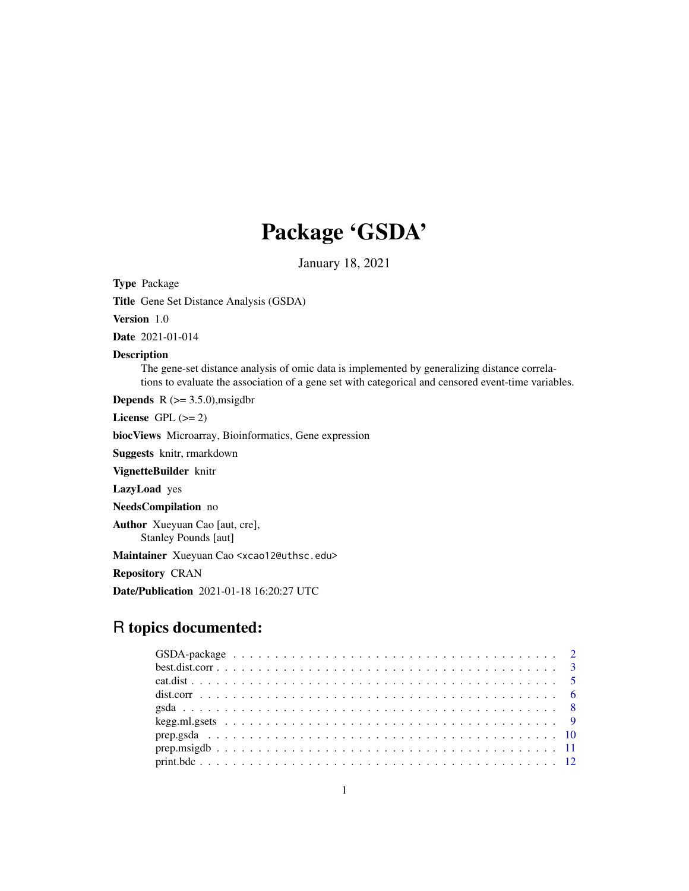# Package 'GSDA'

January 18, 2021

Type Package

Title Gene Set Distance Analysis (GSDA)

Version 1.0

Date 2021-01-014

# Description

The gene-set distance analysis of omic data is implemented by generalizing distance correlations to evaluate the association of a gene set with categorical and censored event-time variables.

**Depends** R  $(>= 3.5.0)$ , msigdbr

License GPL  $(>= 2)$ 

biocViews Microarray, Bioinformatics, Gene expression

Suggests knitr, rmarkdown

VignetteBuilder knitr

LazyLoad yes

NeedsCompilation no

Author Xueyuan Cao [aut, cre], Stanley Pounds [aut]

Maintainer Xueyuan Cao <xcao12@uthsc.edu>

Repository CRAN

Date/Publication 2021-01-18 16:20:27 UTC

# R topics documented: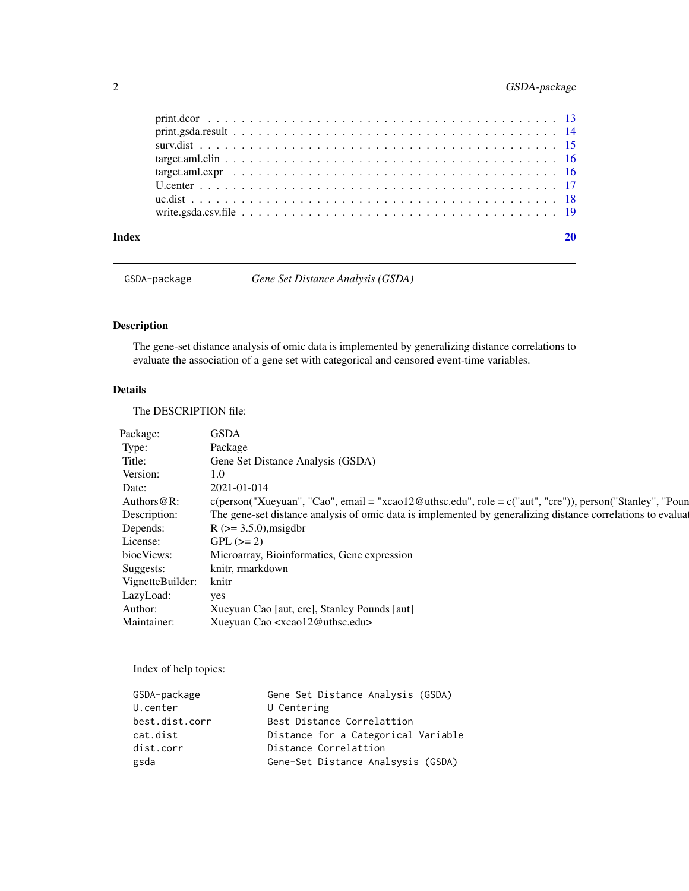# <span id="page-1-0"></span>2 GSDA-package

GSDA-package *Gene Set Distance Analysis (GSDA)*

# <span id="page-1-1"></span>Description

The gene-set distance analysis of omic data is implemented by generalizing distance correlations to evaluate the association of a gene set with categorical and censored event-time variables.

# Details

The DESCRIPTION file:

| Package:         | <b>GSDA</b>                                                                                                        |
|------------------|--------------------------------------------------------------------------------------------------------------------|
| Type:            | Package                                                                                                            |
| Title:           | Gene Set Distance Analysis (GSDA)                                                                                  |
| Version:         | 1.0                                                                                                                |
| Date:            | 2021-01-014                                                                                                        |
| Authors $@R$ :   | $c(\text{person("Xueyuan", "Cao", email = "xcao12@uthsc.edu", role = c("aut", "cre"))})$ , person("Stanley", "Poun |
| Description:     | The gene-set distance analysis of omic data is implemented by generalizing distance correlations to evaluated      |
| Depends:         | $R$ ( $> = 3.5.0$ ), msigdbr                                                                                       |
| License:         | $GPL (=2)$                                                                                                         |
| biocViews:       | Microarray, Bioinformatics, Gene expression                                                                        |
| Suggests:        | knitr, rmarkdown                                                                                                   |
| VignetteBuilder: | knitr                                                                                                              |
| LazyLoad:        | yes                                                                                                                |
| Author:          | Xueyuan Cao [aut, cre], Stanley Pounds [aut]                                                                       |
| Maintainer:      | Xueyuan Cao <xcao12@uthsc.edu></xcao12@uthsc.edu>                                                                  |

Index of help topics:

| GSDA-package   | Gene Set Distance Analysis (GSDA)   |
|----------------|-------------------------------------|
| U.center       | U Centering                         |
| best.dist.corr | Best Distance Correlattion          |
| cat.dist       | Distance for a Categorical Variable |
| dist.corr      | Distance Correlattion               |
| gsda           | Gene-Set Distance Analsysis (GSDA)  |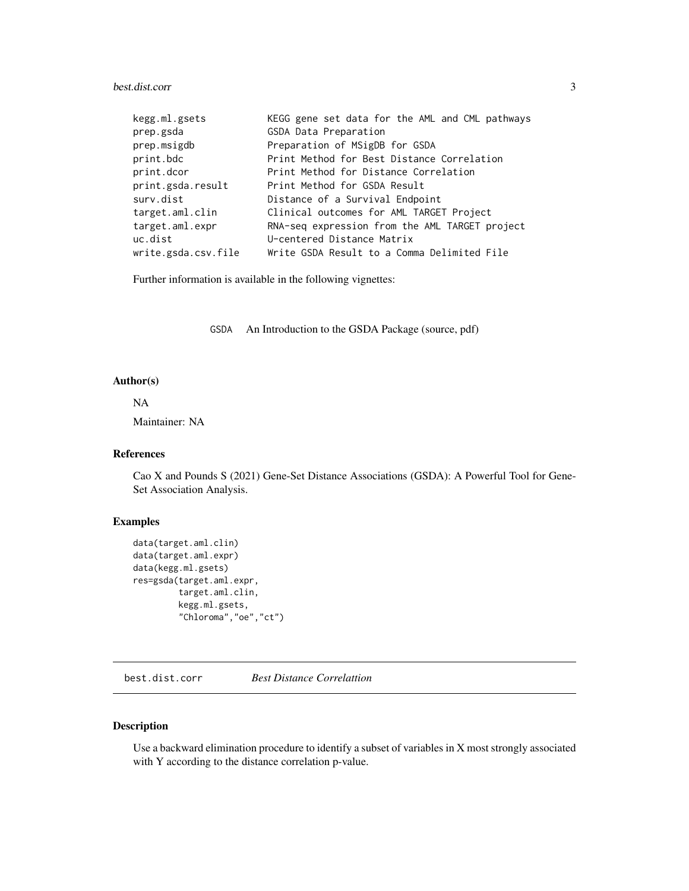# <span id="page-2-0"></span>best.dist.corr 3

| kegg.ml.gsets       | KEGG gene set data for the AML and CML pathways |
|---------------------|-------------------------------------------------|
| prep.gsda           | GSDA Data Preparation                           |
| prep.msigdb         | Preparation of MSigDB for GSDA                  |
| print.bdc           | Print Method for Best Distance Correlation      |
| print.dcor          | Print Method for Distance Correlation           |
| print.gsda.result   | Print Method for GSDA Result                    |
| surv.dist           | Distance of a Survival Endpoint                 |
| target.aml.clin     | Clinical outcomes for AML TARGET Project        |
| target.aml.expr     | RNA-seq expression from the AML TARGET project  |
| uc.dist             | U-centered Distance Matrix                      |
| write.gsda.csv.file | Write GSDA Result to a Comma Delimited File     |

Further information is available in the following vignettes:

GSDA An Introduction to the GSDA Package (source, pdf)

# Author(s)

# NA

Maintainer: NA

# References

Cao X and Pounds S (2021) Gene-Set Distance Associations (GSDA): A Powerful Tool for Gene-Set Association Analysis.

#### Examples

```
data(target.aml.clin)
data(target.aml.expr)
data(kegg.ml.gsets)
res=gsda(target.aml.expr,
         target.aml.clin,
         kegg.ml.gsets,
         "Chloroma","oe","ct")
```
<span id="page-2-1"></span>best.dist.corr *Best Distance Correlattion*

# Description

Use a backward elimination procedure to identify a subset of variables in X most strongly associated with Y according to the distance correlation p-value.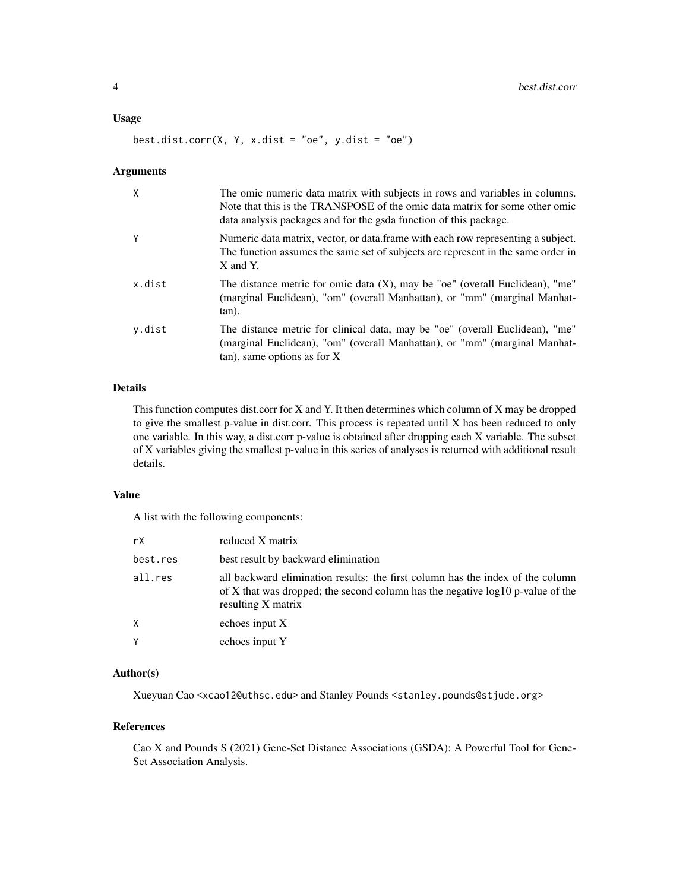#### Usage

best.dist.corr(X, Y, x.dist = "oe", y.dist = "oe")

#### Arguments

| $\mathsf{X}$ | The omic numeric data matrix with subjects in rows and variables in columns.<br>Note that this is the TRANSPOSE of the omic data matrix for some other omic<br>data analysis packages and for the gsda function of this package. |
|--------------|----------------------------------------------------------------------------------------------------------------------------------------------------------------------------------------------------------------------------------|
| Y            | Numeric data matrix, vector, or data.frame with each row representing a subject.<br>The function assumes the same set of subjects are represent in the same order in<br>X and Y.                                                 |
| x.dist       | The distance metric for omic data $(X)$ , may be "oe" (overall Euclidean), "me"<br>(marginal Euclidean), "om" (overall Manhattan), or "mm" (marginal Manhat-<br>tan).                                                            |
| y.dist       | The distance metric for clinical data, may be "oe" (overall Euclidean), "me"<br>(marginal Euclidean), "om" (overall Manhattan), or "mm" (marginal Manhat-<br>$tan)$ , same options as for X                                      |

# Details

This function computes dist.corr for X and Y. It then determines which column of X may be dropped to give the smallest p-value in dist.corr. This process is repeated until X has been reduced to only one variable. In this way, a dist.corr p-value is obtained after dropping each X variable. The subset of X variables giving the smallest p-value in this series of analyses is returned with additional result details.

# Value

A list with the following components:

| rX       | reduced X matrix                                                                                                                                                                          |
|----------|-------------------------------------------------------------------------------------------------------------------------------------------------------------------------------------------|
| best.res | best result by backward elimination                                                                                                                                                       |
| all.res  | all backward elimination results: the first column has the index of the column<br>of X that was dropped; the second column has the negative $log 10$ p-value of the<br>resulting X matrix |
| Χ        | echoes input X                                                                                                                                                                            |
| Υ        | echoes input Y                                                                                                                                                                            |

#### Author(s)

Xueyuan Cao <xcao12@uthsc.edu> and Stanley Pounds <stanley.pounds@stjude.org>

#### References

Cao X and Pounds S (2021) Gene-Set Distance Associations (GSDA): A Powerful Tool for Gene-Set Association Analysis.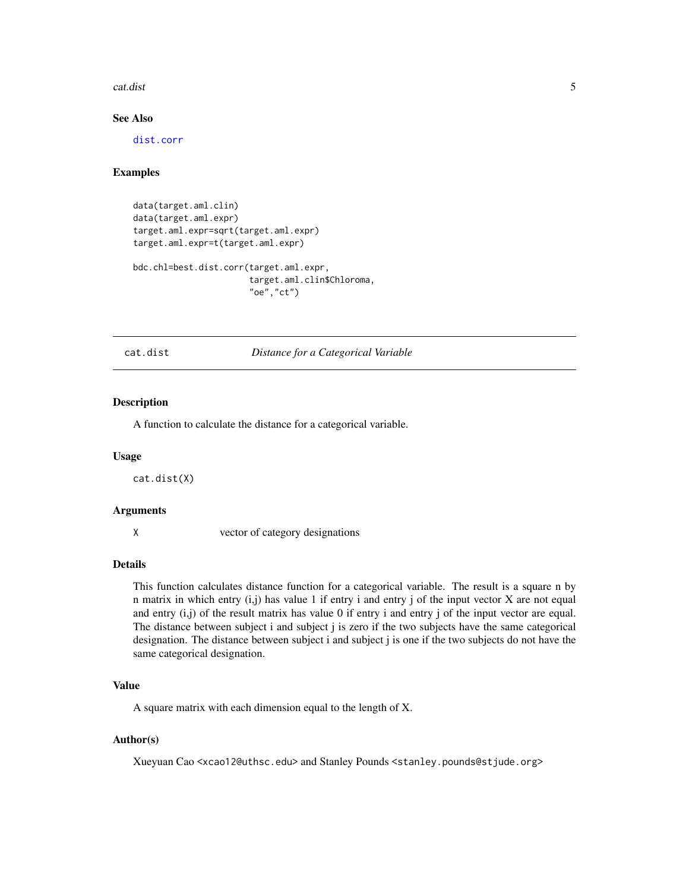#### <span id="page-4-0"></span>cat.dist 5

# See Also

[dist.corr](#page-5-1)

### Examples

```
data(target.aml.clin)
data(target.aml.expr)
target.aml.expr=sqrt(target.aml.expr)
target.aml.expr=t(target.aml.expr)
bdc.chl=best.dist.corr(target.aml.expr,
                       target.aml.clin$Chloroma,
                       "oe","ct")
```
<span id="page-4-1"></span>cat.dist *Distance for a Categorical Variable*

### Description

A function to calculate the distance for a categorical variable.

#### Usage

cat.dist(X)

#### Arguments

X vector of category designations

#### Details

This function calculates distance function for a categorical variable. The result is a square n by n matrix in which entry (i,j) has value 1 if entry i and entry j of the input vector X are not equal and entry  $(i,j)$  of the result matrix has value 0 if entry i and entry j of the input vector are equal. The distance between subject i and subject j is zero if the two subjects have the same categorical designation. The distance between subject i and subject j is one if the two subjects do not have the same categorical designation.

#### Value

A square matrix with each dimension equal to the length of X.

#### Author(s)

Xueyuan Cao <xcao12@uthsc.edu> and Stanley Pounds <stanley.pounds@stjude.org>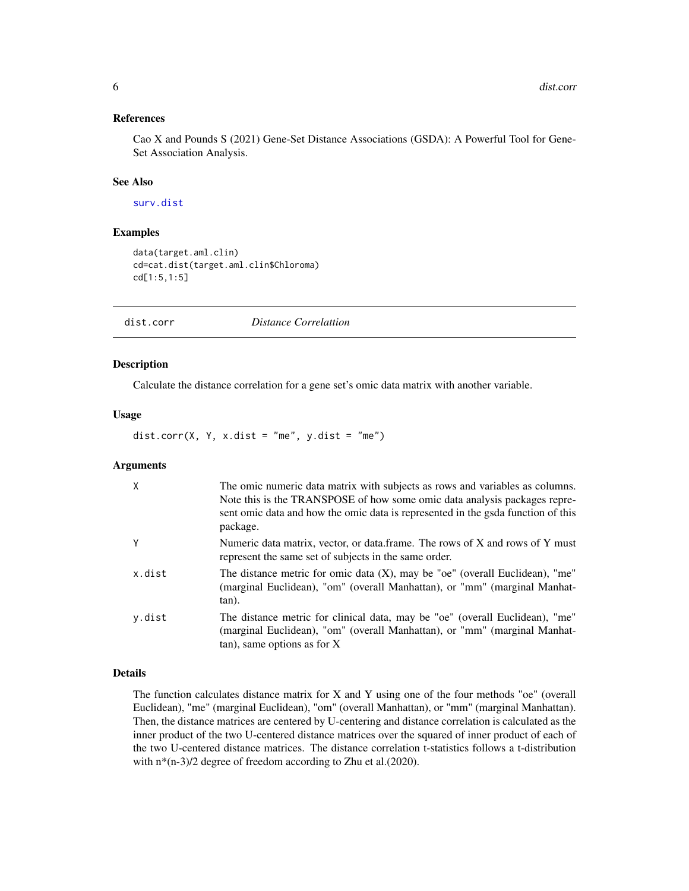# <span id="page-5-0"></span>References

Cao X and Pounds S (2021) Gene-Set Distance Associations (GSDA): A Powerful Tool for Gene-Set Association Analysis.

# See Also

[surv.dist](#page-14-1)

#### Examples

```
data(target.aml.clin)
cd=cat.dist(target.aml.clin$Chloroma)
cd[1:5,1:5]
```
<span id="page-5-1"></span>dist.corr *Distance Correlattion*

# Description

Calculate the distance correlation for a gene set's omic data matrix with another variable.

# Usage

dist.corr(X, Y, x.dist = "me", y.dist = "me")

# **Arguments**

| $\mathsf{X}$ | The omic numeric data matrix with subjects as rows and variables as columns.<br>Note this is the TRANSPOSE of how some omic data analysis packages repre-<br>sent omic data and how the omic data is represented in the gsda function of this<br>package. |
|--------------|-----------------------------------------------------------------------------------------------------------------------------------------------------------------------------------------------------------------------------------------------------------|
| Y            | Numeric data matrix, vector, or data.frame. The rows of X and rows of Y must<br>represent the same set of subjects in the same order.                                                                                                                     |
| x.dist       | The distance metric for omic data $(X)$ , may be "oe" (overall Euclidean), "me"<br>(marginal Euclidean), "om" (overall Manhattan), or "mm" (marginal Manhat-<br>tan).                                                                                     |
| y.dist       | The distance metric for clinical data, may be "oe" (overall Euclidean), "me"<br>(marginal Euclidean), "om" (overall Manhattan), or "mm" (marginal Manhat-<br>$tan)$ , same options as for X                                                               |

# Details

The function calculates distance matrix for X and Y using one of the four methods "oe" (overall Euclidean), "me" (marginal Euclidean), "om" (overall Manhattan), or "mm" (marginal Manhattan). Then, the distance matrices are centered by U-centering and distance correlation is calculated as the inner product of the two U-centered distance matrices over the squared of inner product of each of the two U-centered distance matrices. The distance correlation t-statistics follows a t-distribution with  $n*(n-3)/2$  degree of freedom according to Zhu et al.(2020).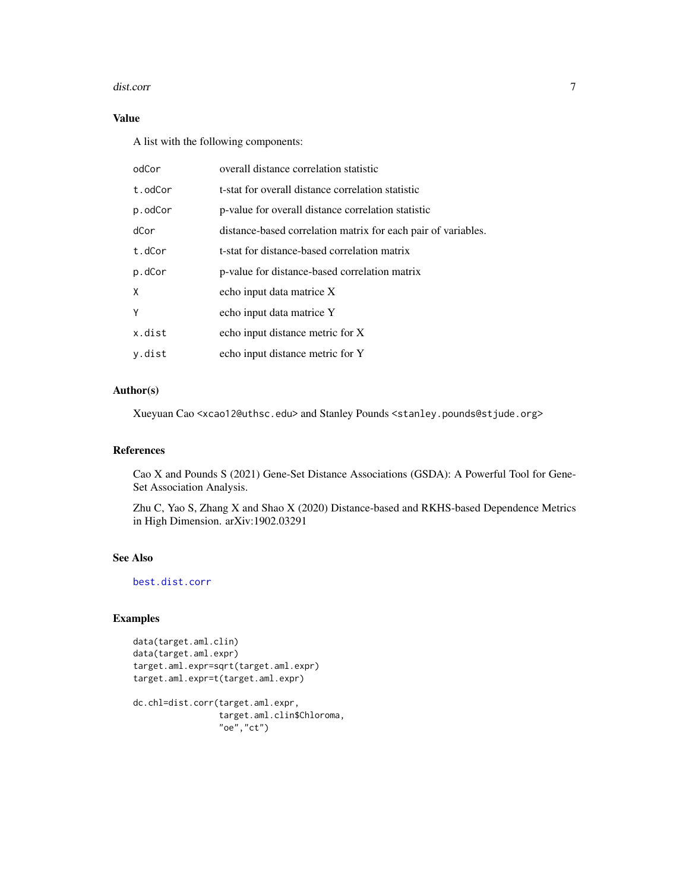#### <span id="page-6-0"></span>dist.corr 7

# Value

A list with the following components:

| odCor   | overall distance correlation statistic                        |
|---------|---------------------------------------------------------------|
| t.odCor | t-stat for overall distance correlation statistic             |
| p.odCor | p-value for overall distance correlation statistic            |
| dCor    | distance-based correlation matrix for each pair of variables. |
| t.dCor  | t-stat for distance-based correlation matrix                  |
| p.dCor  | p-value for distance-based correlation matrix                 |
| X       | echo input data matrice X                                     |
| Y       | echo input data matrice Y                                     |
| x.dist  | echo input distance metric for X                              |
| y.dist  | echo input distance metric for Y                              |

# Author(s)

Xueyuan Cao <xcao12@uthsc.edu> and Stanley Pounds <stanley.pounds@stjude.org>

#### References

Cao X and Pounds S (2021) Gene-Set Distance Associations (GSDA): A Powerful Tool for Gene-Set Association Analysis.

Zhu C, Yao S, Zhang X and Shao X (2020) Distance-based and RKHS-based Dependence Metrics in High Dimension. arXiv:1902.03291

# See Also

[best.dist.corr](#page-2-1)

# Examples

```
data(target.aml.clin)
data(target.aml.expr)
target.aml.expr=sqrt(target.aml.expr)
target.aml.expr=t(target.aml.expr)
```

```
dc.chl=dist.corr(target.aml.expr,
                 target.aml.clin$Chloroma,
                 "oe","ct")
```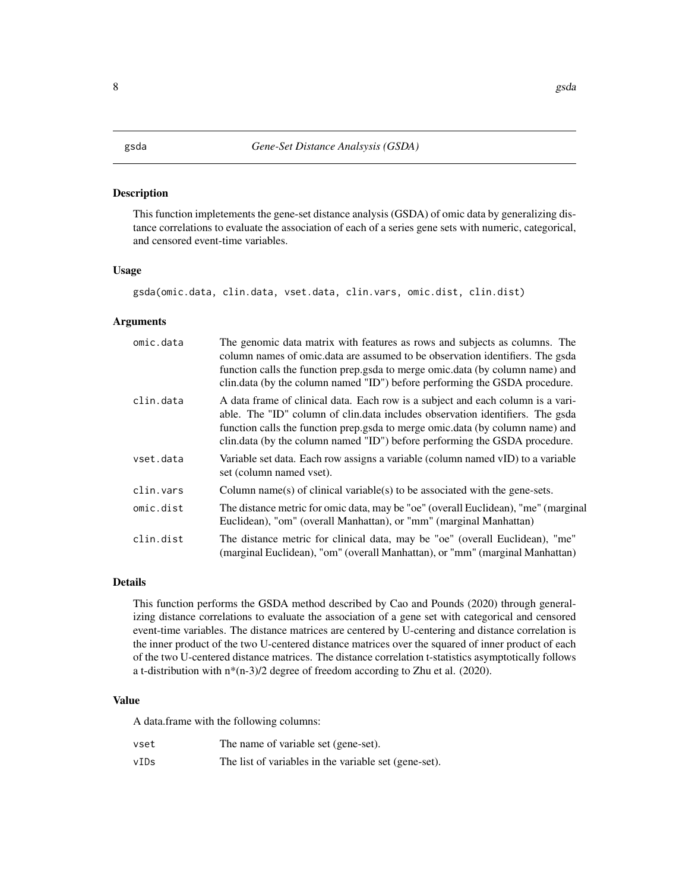#### <span id="page-7-1"></span><span id="page-7-0"></span>Description

This function impletements the gene-set distance analysis (GSDA) of omic data by generalizing distance correlations to evaluate the association of each of a series gene sets with numeric, categorical, and censored event-time variables.

#### Usage

gsda(omic.data, clin.data, vset.data, clin.vars, omic.dist, clin.dist)

# Arguments

| omic.data | The genomic data matrix with features as rows and subjects as columns. The<br>column names of omic.data are assumed to be observation identifiers. The gsda<br>function calls the function prep.gsda to merge omic.data (by column name) and<br>clin.data (by the column named "ID") before performing the GSDA procedure.      |
|-----------|---------------------------------------------------------------------------------------------------------------------------------------------------------------------------------------------------------------------------------------------------------------------------------------------------------------------------------|
| clin.data | A data frame of clinical data. Each row is a subject and each column is a vari-<br>able. The "ID" column of clin.data includes observation identifiers. The gsda<br>function calls the function prep.gsda to merge omic.data (by column name) and<br>clin.data (by the column named "ID") before performing the GSDA procedure. |
| vset.data | Variable set data. Each row assigns a variable (column named vID) to a variable<br>set (column named vset).                                                                                                                                                                                                                     |
| clin.vars | Column name(s) of clinical variable(s) to be associated with the gene-sets.                                                                                                                                                                                                                                                     |
| omic.dist | The distance metric for omic data, may be "oe" (overall Euclidean), "me" (marginal<br>Euclidean), "om" (overall Manhattan), or "mm" (marginal Manhattan)                                                                                                                                                                        |
| clin.dist | The distance metric for clinical data, may be "oe" (overall Euclidean), "me"<br>(marginal Euclidean), "om" (overall Manhattan), or "mm" (marginal Manhattan)                                                                                                                                                                    |

# Details

This function performs the GSDA method described by Cao and Pounds (2020) through generalizing distance correlations to evaluate the association of a gene set with categorical and censored event-time variables. The distance matrices are centered by U-centering and distance correlation is the inner product of the two U-centered distance matrices over the squared of inner product of each of the two U-centered distance matrices. The distance correlation t-statistics asymptotically follows a t-distribution with n\*(n-3)/2 degree of freedom according to Zhu et al. (2020).

#### Value

A data.frame with the following columns:

| vset | The name of variable set (gene-set).                  |
|------|-------------------------------------------------------|
| vIDs | The list of variables in the variable set (gene-set). |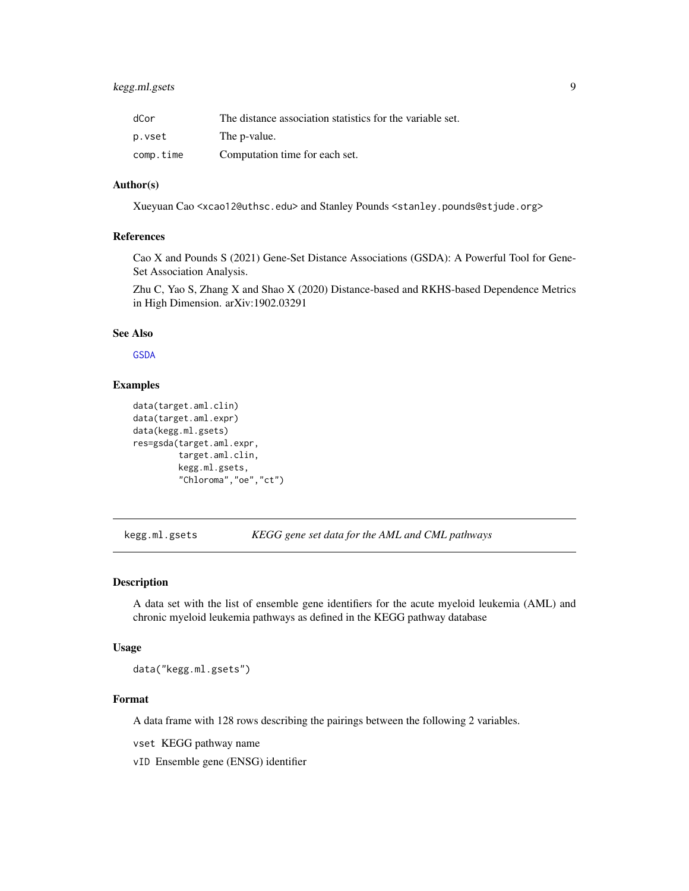# <span id="page-8-0"></span>kegg.ml.gsets 9

| dCor      | The distance association statistics for the variable set. |
|-----------|-----------------------------------------------------------|
| p.vset    | The p-value.                                              |
| comp.time | Computation time for each set.                            |

# Author(s)

Xueyuan Cao <xcao12@uthsc.edu> and Stanley Pounds <stanley.pounds@stjude.org>

#### References

Cao X and Pounds S (2021) Gene-Set Distance Associations (GSDA): A Powerful Tool for Gene-Set Association Analysis.

Zhu C, Yao S, Zhang X and Shao X (2020) Distance-based and RKHS-based Dependence Metrics in High Dimension. arXiv:1902.03291

#### See Also

**[GSDA](#page-1-1)** 

#### Examples

```
data(target.aml.clin)
data(target.aml.expr)
data(kegg.ml.gsets)
res=gsda(target.aml.expr,
         target.aml.clin,
         kegg.ml.gsets,
         "Chloroma","oe","ct")
```
kegg.ml.gsets *KEGG gene set data for the AML and CML pathways*

### Description

A data set with the list of ensemble gene identifiers for the acute myeloid leukemia (AML) and chronic myeloid leukemia pathways as defined in the KEGG pathway database

#### Usage

data("kegg.ml.gsets")

# Format

A data frame with 128 rows describing the pairings between the following 2 variables.

vset KEGG pathway name

vID Ensemble gene (ENSG) identifier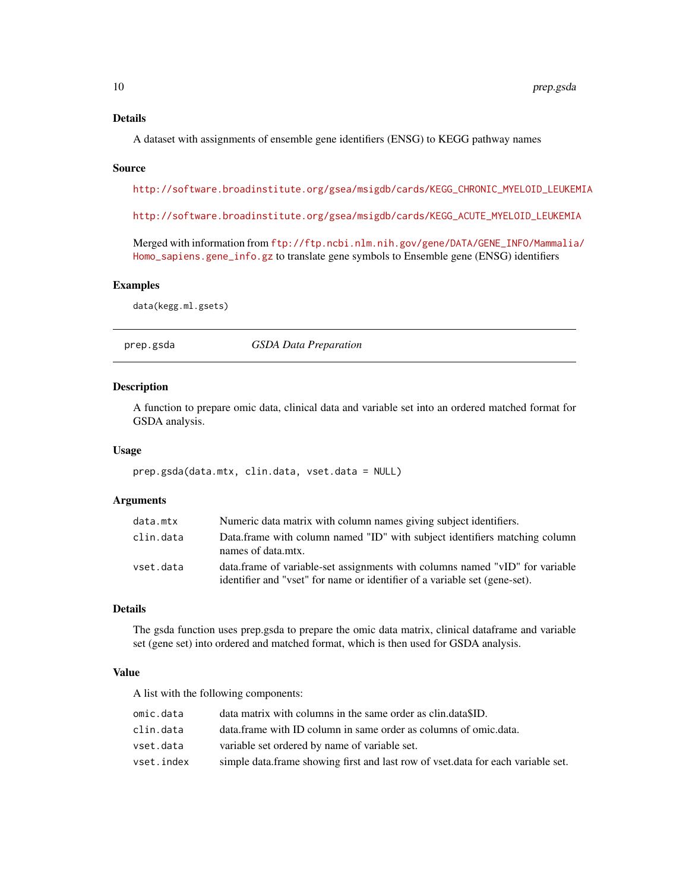#### <span id="page-9-0"></span>Details

A dataset with assignments of ensemble gene identifiers (ENSG) to KEGG pathway names

#### Source

[http://software.broadinstitute.org/gsea/msigdb/cards/KEGG\\_CHRONIC\\_MYELOID\\_LEUKEMIA](http://software.broadinstitute.org/gsea/msigdb/cards/KEGG_CHRONIC_MYELOID_LEUKEMIA)

[http://software.broadinstitute.org/gsea/msigdb/cards/KEGG\\_ACUTE\\_MYELOID\\_LEUKEMIA](http://software.broadinstitute.org/gsea/msigdb/cards/KEGG_ACUTE_MYELOID_LEUKEMIA)

Merged with information from [ftp://ftp.ncbi.nlm.nih.gov/gene/DATA/GENE\\_INFO/Mammalia](ftp://ftp.ncbi.nlm.nih.gov/gene/DATA/GENE_INFO/Mammalia/Homo_sapiens.gene_info.gz)/ [Homo\\_sapiens.gene\\_info.gz](ftp://ftp.ncbi.nlm.nih.gov/gene/DATA/GENE_INFO/Mammalia/Homo_sapiens.gene_info.gz) to translate gene symbols to Ensemble gene (ENSG) identifiers

# Examples

data(kegg.ml.gsets)

<span id="page-9-1"></span>

prep.gsda *GSDA Data Preparation*

# Description

A function to prepare omic data, clinical data and variable set into an ordered matched format for GSDA analysis.

#### Usage

prep.gsda(data.mtx, clin.data, vset.data = NULL)

# Arguments

| data.mtx  | Numeric data matrix with column names giving subject identifiers.                                                                                          |
|-----------|------------------------------------------------------------------------------------------------------------------------------------------------------------|
| clin.data | Data.frame with column named "ID" with subject identifiers matching column<br>names of data.mtx.                                                           |
| vset.data | data.frame of variable-set assignments with columns named "vID" for variable<br>identifier and "vset" for name or identifier of a variable set (gene-set). |

#### Details

The gsda function uses prep.gsda to prepare the omic data matrix, clinical dataframe and variable set (gene set) into ordered and matched format, which is then used for GSDA analysis.

# Value

A list with the following components:

| omic.data  | data matrix with columns in the same order as clin.data SID.                     |
|------------|----------------------------------------------------------------------------------|
| clin.data  | data. frame with ID column in same order as columns of omic. data.               |
| vset.data  | variable set ordered by name of variable set.                                    |
| vset.index | simple data.frame showing first and last row of vset.data for each variable set. |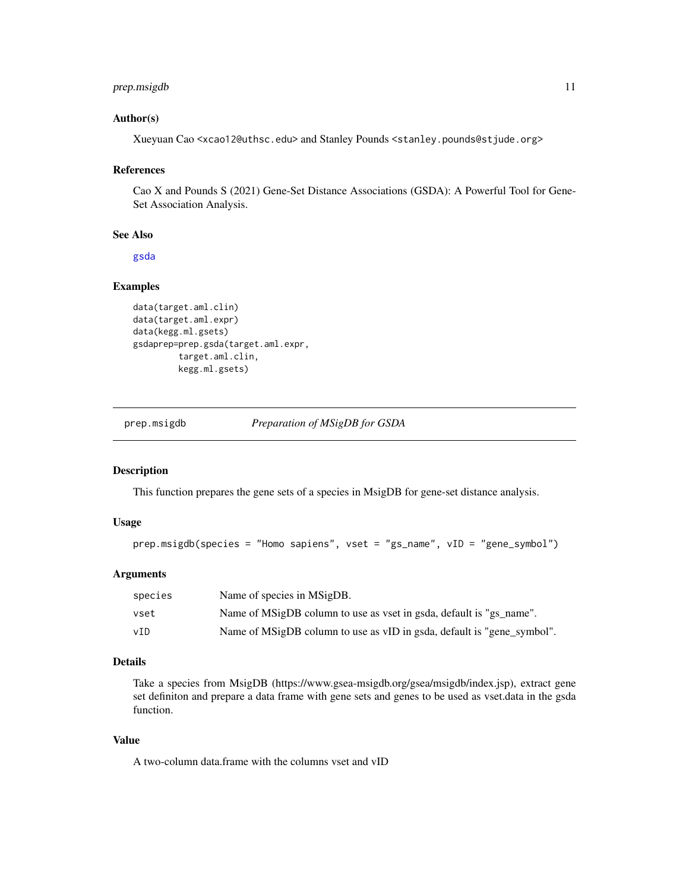# <span id="page-10-0"></span>prep.msigdb 11

# Author(s)

Xueyuan Cao <xcao12@uthsc.edu> and Stanley Pounds <stanley.pounds@stjude.org>

# References

Cao X and Pounds S (2021) Gene-Set Distance Associations (GSDA): A Powerful Tool for Gene-Set Association Analysis.

# See Also

[gsda](#page-7-1)

#### Examples

```
data(target.aml.clin)
data(target.aml.expr)
data(kegg.ml.gsets)
gsdaprep=prep.gsda(target.aml.expr,
         target.aml.clin,
         kegg.ml.gsets)
```
prep.msigdb *Preparation of MSigDB for GSDA*

# Description

This function prepares the gene sets of a species in MsigDB for gene-set distance analysis.

#### Usage

```
prep.msigdb(species = "Homo sapiens", vset = "gs_name", vID = "gene_symbol")
```
# Arguments

| species | Name of species in MSigDB.                                             |
|---------|------------------------------------------------------------------------|
| vset    | Name of MSigDB column to use as vset in gsda, default is "gs name".    |
| vID     | Name of MSigDB column to use as vID in gsda, default is "gene_symbol". |

# Details

Take a species from MsigDB (https://www.gsea-msigdb.org/gsea/msigdb/index.jsp), extract gene set definiton and prepare a data frame with gene sets and genes to be used as vset.data in the gsda function.

# Value

A two-column data.frame with the columns vset and vID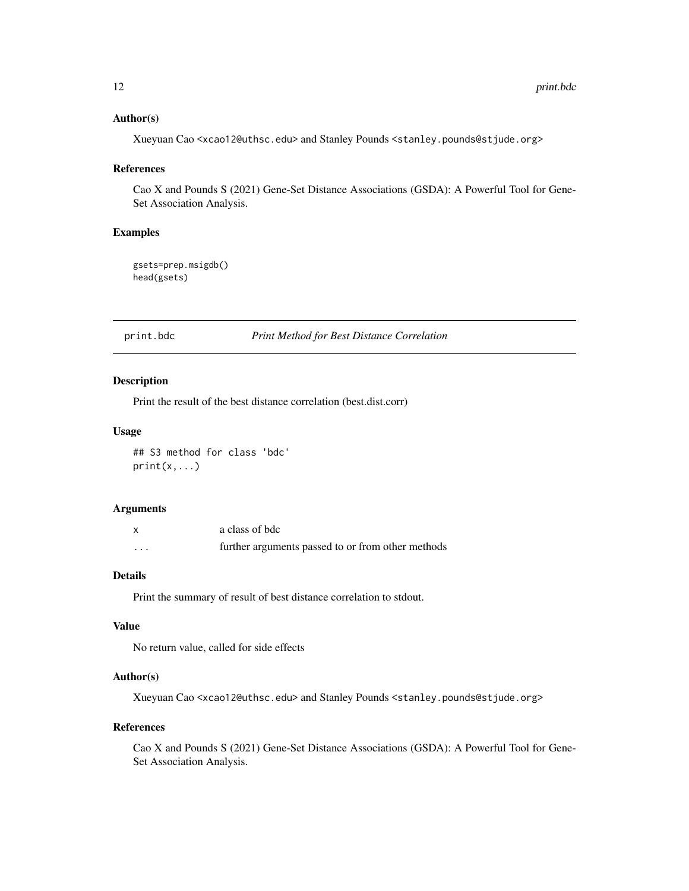# <span id="page-11-0"></span>Author(s)

Xueyuan Cao <xcao12@uthsc.edu> and Stanley Pounds <stanley.pounds@stjude.org>

#### References

Cao X and Pounds S (2021) Gene-Set Distance Associations (GSDA): A Powerful Tool for Gene-Set Association Analysis.

# Examples

gsets=prep.msigdb() head(gsets)

<span id="page-11-1"></span>print.bdc *Print Method for Best Distance Correlation*

# Description

Print the result of the best distance correlation (best.dist.corr)

#### Usage

## S3 method for class 'bdc'  $print(x, \ldots)$ 

# Arguments

|         | a class of bdc                                    |
|---------|---------------------------------------------------|
| $\cdot$ | further arguments passed to or from other methods |

# Details

Print the summary of result of best distance correlation to stdout.

# Value

No return value, called for side effects

#### Author(s)

Xueyuan Cao <xcao12@uthsc.edu> and Stanley Pounds <stanley.pounds@stjude.org>

#### References

Cao X and Pounds S (2021) Gene-Set Distance Associations (GSDA): A Powerful Tool for Gene-Set Association Analysis.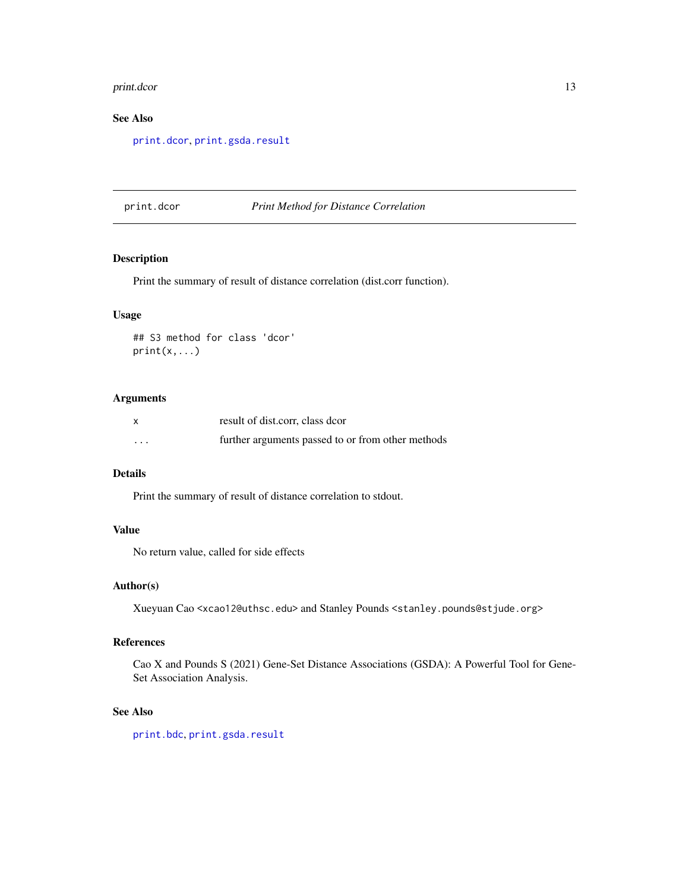#### <span id="page-12-0"></span>print.dcor and the state of the state of the state of the state of the state of the state of the state of the state of the state of the state of the state of the state of the state of the state of the state of the state of

# See Also

[print.dcor](#page-12-1), [print.gsda.result](#page-13-1)

#### <span id="page-12-1"></span>print.dcor *Print Method for Distance Correlation*

# Description

Print the summary of result of distance correlation (dist.corr function).

# Usage

## S3 method for class 'dcor' print(x,...)

# Arguments

|                      | result of dist.corr, class dcor                   |
|----------------------|---------------------------------------------------|
| $\ddot{\phantom{0}}$ | further arguments passed to or from other methods |

# Details

Print the summary of result of distance correlation to stdout.

# Value

No return value, called for side effects

#### Author(s)

Xueyuan Cao <xcao12@uthsc.edu> and Stanley Pounds <stanley.pounds@stjude.org>

# References

Cao X and Pounds S (2021) Gene-Set Distance Associations (GSDA): A Powerful Tool for Gene-Set Association Analysis.

# See Also

[print.bdc](#page-11-1), [print.gsda.result](#page-13-1)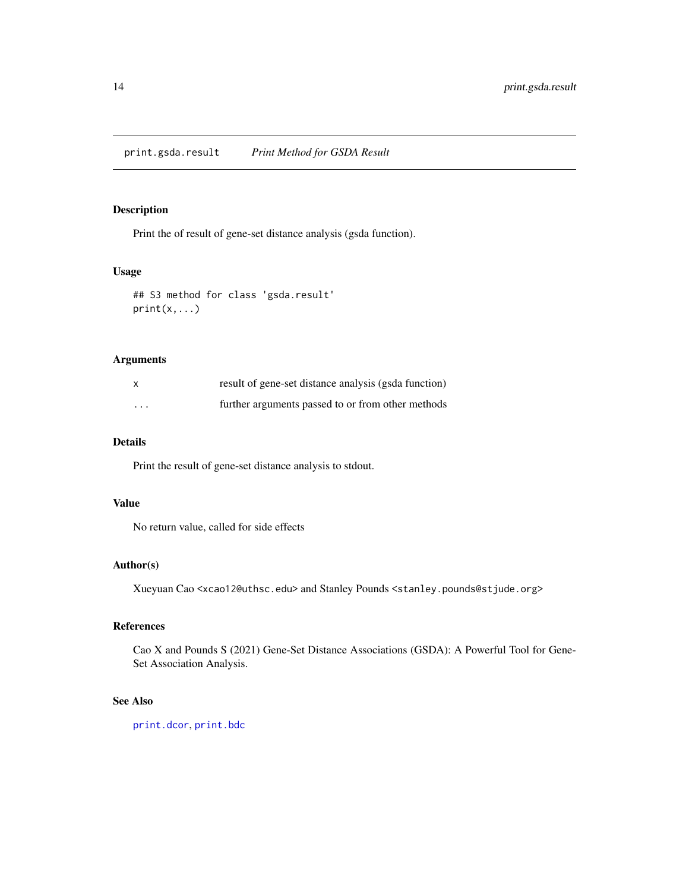<span id="page-13-1"></span><span id="page-13-0"></span>print.gsda.result *Print Method for GSDA Result*

# Description

Print the of result of gene-set distance analysis (gsda function).

# Usage

```
## S3 method for class 'gsda.result'
print(x,...)
```
# Arguments

|          | result of gene-set distance analysis (gsda function) |
|----------|------------------------------------------------------|
| $\cdots$ | further arguments passed to or from other methods    |

#### Details

Print the result of gene-set distance analysis to stdout.

# Value

No return value, called for side effects

# Author(s)

Xueyuan Cao <xcao12@uthsc.edu> and Stanley Pounds <stanley.pounds@stjude.org>

# References

Cao X and Pounds S (2021) Gene-Set Distance Associations (GSDA): A Powerful Tool for Gene-Set Association Analysis.

# See Also

[print.dcor](#page-12-1), [print.bdc](#page-11-1)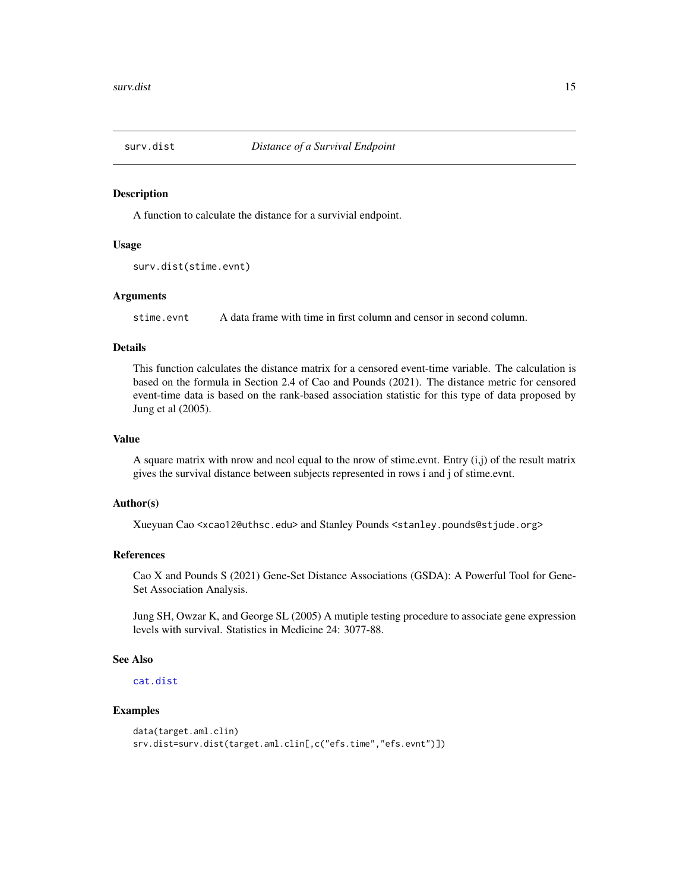<span id="page-14-1"></span><span id="page-14-0"></span>

#### Description

A function to calculate the distance for a survivial endpoint.

#### Usage

```
surv.dist(stime.evnt)
```
# Arguments

stime.evnt A data frame with time in first column and censor in second column.

#### Details

This function calculates the distance matrix for a censored event-time variable. The calculation is based on the formula in Section 2.4 of Cao and Pounds (2021). The distance metric for censored event-time data is based on the rank-based association statistic for this type of data proposed by Jung et al (2005).

# Value

A square matrix with nrow and ncol equal to the nrow of stime.evnt. Entry (i,j) of the result matrix gives the survival distance between subjects represented in rows i and j of stime.evnt.

#### Author(s)

Xueyuan Cao <xcao12@uthsc.edu> and Stanley Pounds <stanley.pounds@stjude.org>

#### References

Cao X and Pounds S (2021) Gene-Set Distance Associations (GSDA): A Powerful Tool for Gene-Set Association Analysis.

Jung SH, Owzar K, and George SL (2005) A mutiple testing procedure to associate gene expression levels with survival. Statistics in Medicine 24: 3077-88.

# See Also

[cat.dist](#page-4-1)

# Examples

```
data(target.aml.clin)
srv.dist=surv.dist(target.aml.clin[,c("efs.time","efs.evnt")])
```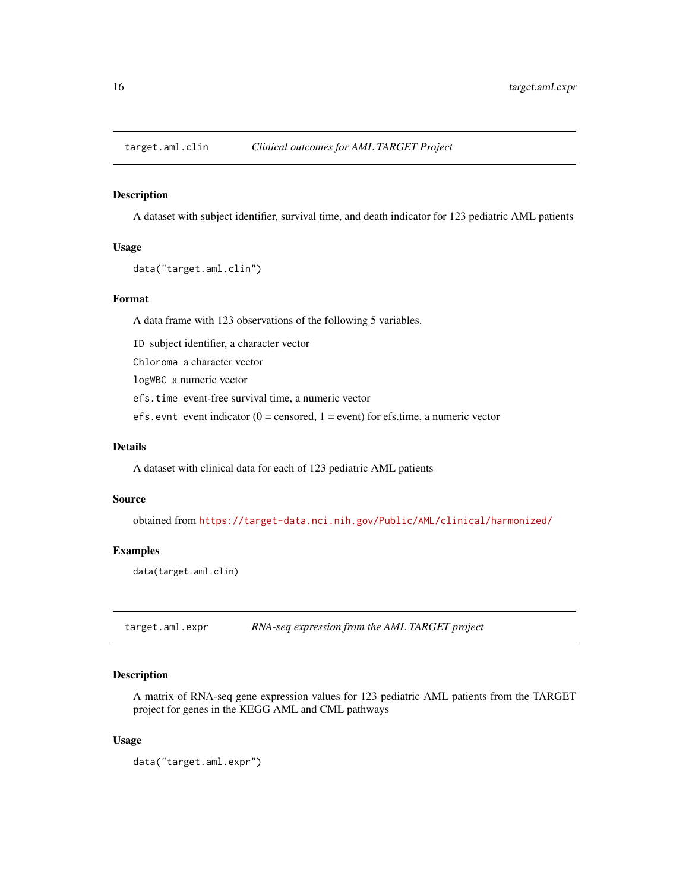<span id="page-15-0"></span>

#### Description

A dataset with subject identifier, survival time, and death indicator for 123 pediatric AML patients

# Usage

```
data("target.aml.clin")
```
#### Format

A data frame with 123 observations of the following 5 variables.

ID subject identifier, a character vector

Chloroma a character vector

logWBC a numeric vector

efs.time event-free survival time, a numeric vector

efs.evnt event indicator ( $0 =$  censored,  $1 =$  event) for efs.time, a numeric vector

# Details

A dataset with clinical data for each of 123 pediatric AML patients

## Source

obtained from <https://target-data.nci.nih.gov/Public/AML/clinical/harmonized/>

# Examples

data(target.aml.clin)

target.aml.expr *RNA-seq expression from the AML TARGET project*

# Description

A matrix of RNA-seq gene expression values for 123 pediatric AML patients from the TARGET project for genes in the KEGG AML and CML pathways

#### Usage

data("target.aml.expr")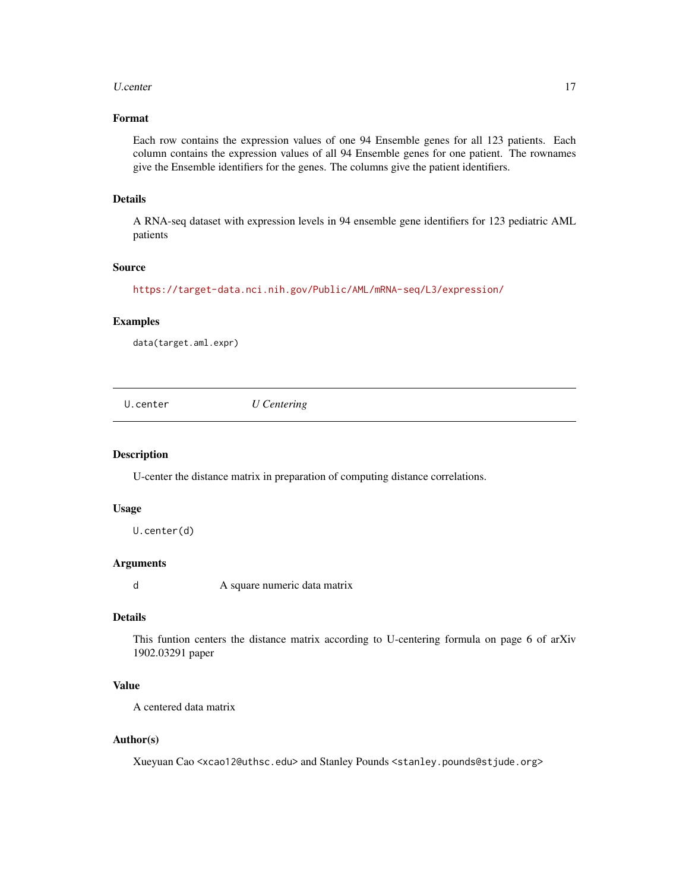#### <span id="page-16-0"></span>U.center 17

# Format

Each row contains the expression values of one 94 Ensemble genes for all 123 patients. Each column contains the expression values of all 94 Ensemble genes for one patient. The rownames give the Ensemble identifiers for the genes. The columns give the patient identifiers.

# Details

A RNA-seq dataset with expression levels in 94 ensemble gene identifiers for 123 pediatric AML patients

#### Source

<https://target-data.nci.nih.gov/Public/AML/mRNA-seq/L3/expression/>

# Examples

data(target.aml.expr)

<span id="page-16-1"></span>U.center *U Centering*

#### Description

U-center the distance matrix in preparation of computing distance correlations.

# Usage

U.center(d)

# Arguments

d A square numeric data matrix

#### Details

This funtion centers the distance matrix according to U-centering formula on page 6 of arXiv 1902.03291 paper

# Value

A centered data matrix

# Author(s)

Xueyuan Cao <xcao12@uthsc.edu> and Stanley Pounds <stanley.pounds@stjude.org>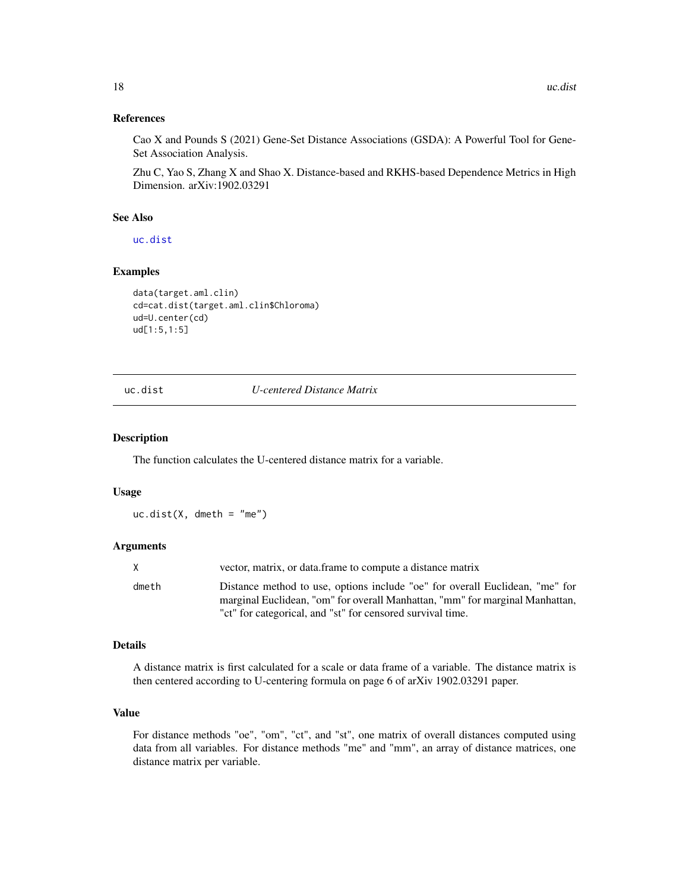# <span id="page-17-0"></span>References

Cao X and Pounds S (2021) Gene-Set Distance Associations (GSDA): A Powerful Tool for Gene-Set Association Analysis.

Zhu C, Yao S, Zhang X and Shao X. Distance-based and RKHS-based Dependence Metrics in High Dimension. arXiv:1902.03291

# See Also

[uc.dist](#page-17-1)

# Examples

```
data(target.aml.clin)
cd=cat.dist(target.aml.clin$Chloroma)
ud=U.center(cd)
ud[1:5,1:5]
```
<span id="page-17-1"></span>uc.dist *U-centered Distance Matrix*

#### Description

The function calculates the U-centered distance matrix for a variable.

#### Usage

 $uc.dist(X, dmeth = "me")$ 

#### **Arguments**

| X     | vector, matrix, or data frame to compute a distance matrix                                                                                                   |
|-------|--------------------------------------------------------------------------------------------------------------------------------------------------------------|
| dmeth | Distance method to use, options include "oe" for overall Euclidean, "me" for<br>marginal Euclidean, "om" for overall Manhattan, "mm" for marginal Manhattan, |
|       | "ct" for categorical, and "st" for censored survival time.                                                                                                   |

# Details

A distance matrix is first calculated for a scale or data frame of a variable. The distance matrix is then centered according to U-centering formula on page 6 of arXiv 1902.03291 paper.

# Value

For distance methods "oe", "om", "ct", and "st", one matrix of overall distances computed using data from all variables. For distance methods "me" and "mm", an array of distance matrices, one distance matrix per variable.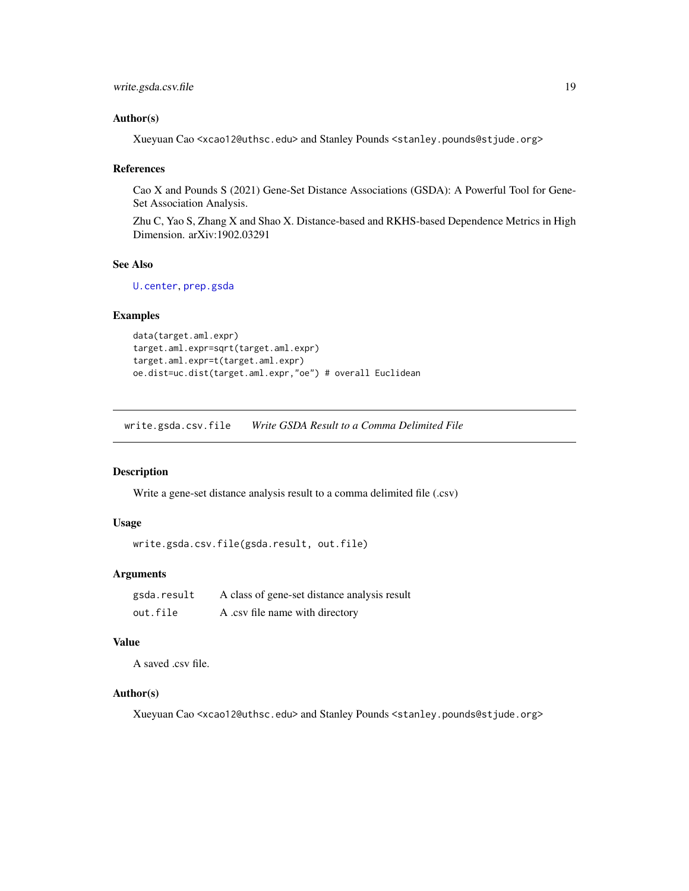```
write.gsda.csv.file 19
```
#### Author(s)

Xueyuan Cao <xcao12@uthsc.edu> and Stanley Pounds <stanley.pounds@stjude.org>

#### References

Cao X and Pounds S (2021) Gene-Set Distance Associations (GSDA): A Powerful Tool for Gene-Set Association Analysis.

Zhu C, Yao S, Zhang X and Shao X. Distance-based and RKHS-based Dependence Metrics in High Dimension. arXiv:1902.03291

#### See Also

[U.center](#page-16-1), [prep.gsda](#page-9-1)

# Examples

```
data(target.aml.expr)
target.aml.expr=sqrt(target.aml.expr)
target.aml.expr=t(target.aml.expr)
oe.dist=uc.dist(target.aml.expr,"oe") # overall Euclidean
```
write.gsda.csv.file *Write GSDA Result to a Comma Delimited File*

#### Description

Write a gene-set distance analysis result to a comma delimited file (.csv)

#### Usage

```
write.gsda.csv.file(gsda.result, out.file)
```
# **Arguments**

| gsda.result | A class of gene-set distance analysis result |
|-------------|----------------------------------------------|
| out.file    | A .csv file name with directory              |

# Value

A saved .csv file.

# Author(s)

Xueyuan Cao <xcao12@uthsc.edu> and Stanley Pounds <stanley.pounds@stjude.org>